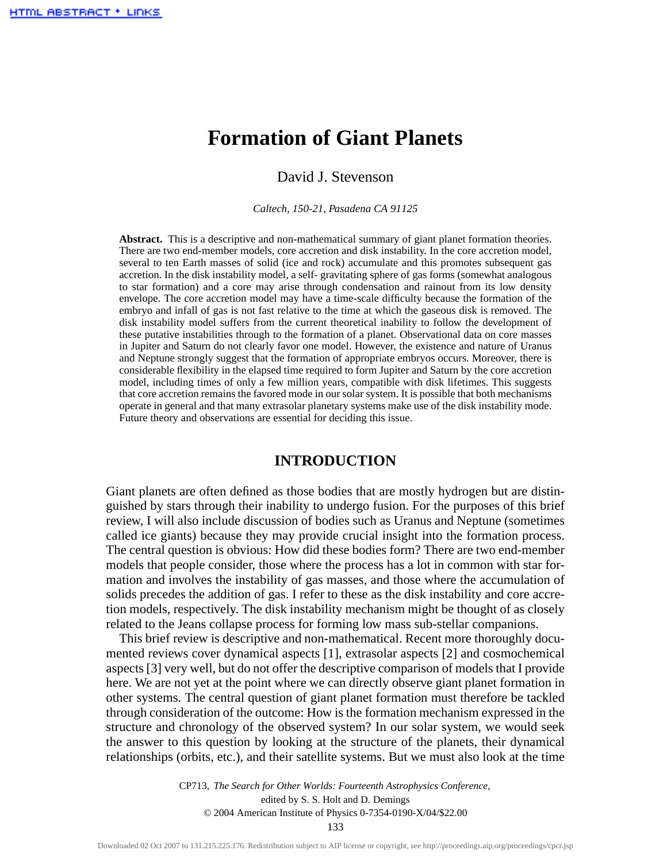# **Formation of Giant Planets**

David J. Stevenson

*Caltech, 150-21, Pasadena CA 91125*

**Abstract.** This is a descriptive and non-mathematical summary of giant planet formation theories. There are two end-member models, core accretion and disk instability. In the core accretion model, several to ten Earth masses of solid (ice and rock) accumulate and this promotes subsequent gas accretion. In the disk instability model, a self- gravitating sphere of gas forms (somewhat analogous to star formation) and a core may arise through condensation and rainout from its low density envelope. The core accretion model may have a time-scale difficulty because the formation of the embryo and infall of gas is not fast relative to the time at which the gaseous disk is removed. The disk instability model suffers from the current theoretical inability to follow the development of these putative instabilities through to the formation of a planet. Observational data on core masses in Jupiter and Saturn do not clearly favor one model. However, the existence and nature of Uranus and Neptune strongly suggest that the formation of appropriate embryos occurs. Moreover, there is considerable flexibility in the elapsed time required to form Jupiter and Saturn by the core accretion model, including times of only a few million years, compatible with disk lifetimes. This suggests that core accretion remains the favored mode in our solar system. It is possible that both mechanisms operate in general and that many extrasolar planetary systems make use of the disk instability mode. Future theory and observations are essential for deciding this issue.

#### **INTRODUCTION**

Giant planets are often defined as those bodies that are mostly hydrogen but are distinguished by stars through their inability to undergo fusion. For the purposes of this brief review, I will also include discussion of bodies such as Uranus and Neptune (sometimes called ice giants) because they may provide crucial insight into the formation process. The central question is obvious: How did these bodies form? There are two end-member models that people consider, those where the process has a lot in common with star formation and involves the instability of gas masses, and those where the accumulation of solids precedes the addition of gas. I refer to these as the disk instability and core accretion models, respectively. The disk instability mechanism might be thought of as closely related to the Jeans collapse process for forming low mass sub-stellar companions.

This brief review is descriptive and non-mathematical. Recent more thoroughly documented reviews cover dynamical aspects [1], extrasolar aspects [2] and cosmochemical aspects [3] very well, but do not offer the descriptive comparison of models that I provide here. We are not yet at the point where we can directly observe giant planet formation in other systems. The central question of giant planet formation must therefore be tackled through consideration of the outcome: How is the formation mechanism expressed in the structure and chronology of the observed system? In our solar system, we would seek the answer to this question by looking at the structure of the planets, their dynamical relationships (orbits, etc.), and their satellite systems. But we must also look at the time

CP713, *The Search for Other Worlds: Fourteenth Astrophysics Conference,*<br>edited by S. S. Holt and D. Demings<br>© 2004 American Institute of Physics 0-7354-0190-X/04/\$22.00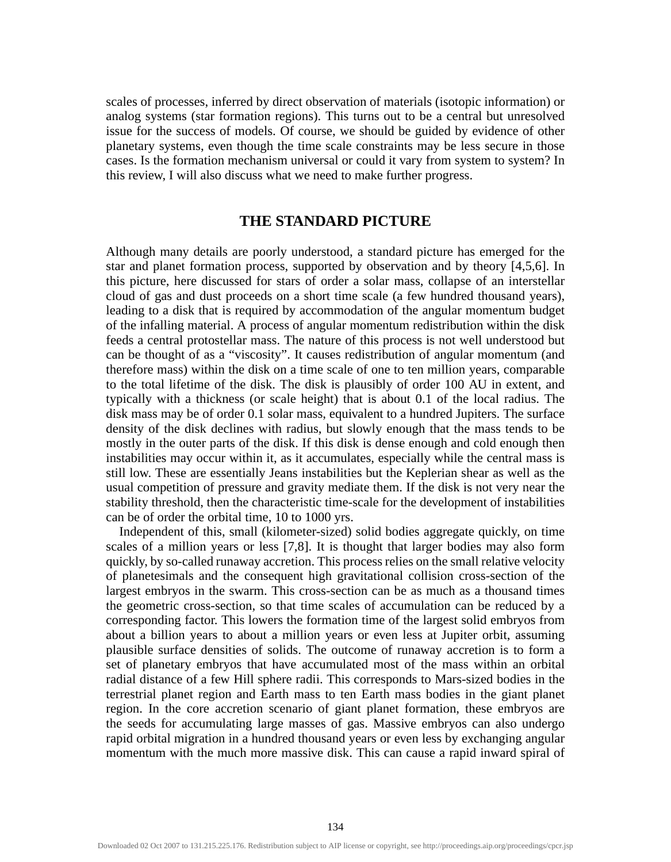scales of processes, inferred by direct observation of materials (isotopic information) or analog systems (star formation regions). This turns out to be a central but unresolved issue for the success of models. Of course, we should be guided by evidence of other planetary systems, even though the time scale constraints may be less secure in those cases. Is the formation mechanism universal or could it vary from system to system? In this review, I will also discuss what we need to make further progress.

# **THE STANDARD PICTURE**

Although many details are poorly understood, a standard picture has emerged for the star and planet formation process, supported by observation and by theory [4,5,6]. In this picture, here discussed for stars of order a solar mass, collapse of an interstellar cloud of gas and dust proceeds on a short time scale (a few hundred thousand years), leading to a disk that is required by accommodation of the angular momentum budget of the infalling material. A process of angular momentum redistribution within the disk feeds a central protostellar mass. The nature of this process is not well understood but can be thought of as a "viscosity". It causes redistribution of angular momentum (and therefore mass) within the disk on a time scale of one to ten million years, comparable to the total lifetime of the disk. The disk is plausibly of order 100 AU in extent, and typically with a thickness (or scale height) that is about 0.1 of the local radius. The disk mass may be of order 0.1 solar mass, equivalent to a hundred Jupiters. The surface density of the disk declines with radius, but slowly enough that the mass tends to be mostly in the outer parts of the disk. If this disk is dense enough and cold enough then instabilities may occur within it, as it accumulates, especially while the central mass is still low. These are essentially Jeans instabilities but the Keplerian shear as well as the usual competition of pressure and gravity mediate them. If the disk is not very near the stability threshold, then the characteristic time-scale for the development of instabilities can be of order the orbital time, 10 to 1000 yrs.

Independent of this, small (kilometer-sized) solid bodies aggregate quickly, on time scales of a million years or less [7,8]. It is thought that larger bodies may also form quickly, by so-called runaway accretion. This process relies on the small relative velocity of planetesimals and the consequent high gravitational collision cross-section of the largest embryos in the swarm. This cross-section can be as much as a thousand times the geometric cross-section, so that time scales of accumulation can be reduced by a corresponding factor. This lowers the formation time of the largest solid embryos from about a billion years to about a million years or even less at Jupiter orbit, assuming plausible surface densities of solids. The outcome of runaway accretion is to form a set of planetary embryos that have accumulated most of the mass within an orbital radial distance of a few Hill sphere radii. This corresponds to Mars-sized bodies in the terrestrial planet region and Earth mass to ten Earth mass bodies in the giant planet region. In the core accretion scenario of giant planet formation, these embryos are the seeds for accumulating large masses of gas. Massive embryos can also undergo rapid orbital migration in a hundred thousand years or even less by exchanging angular momentum with the much more massive disk. This can cause a rapid inward spiral of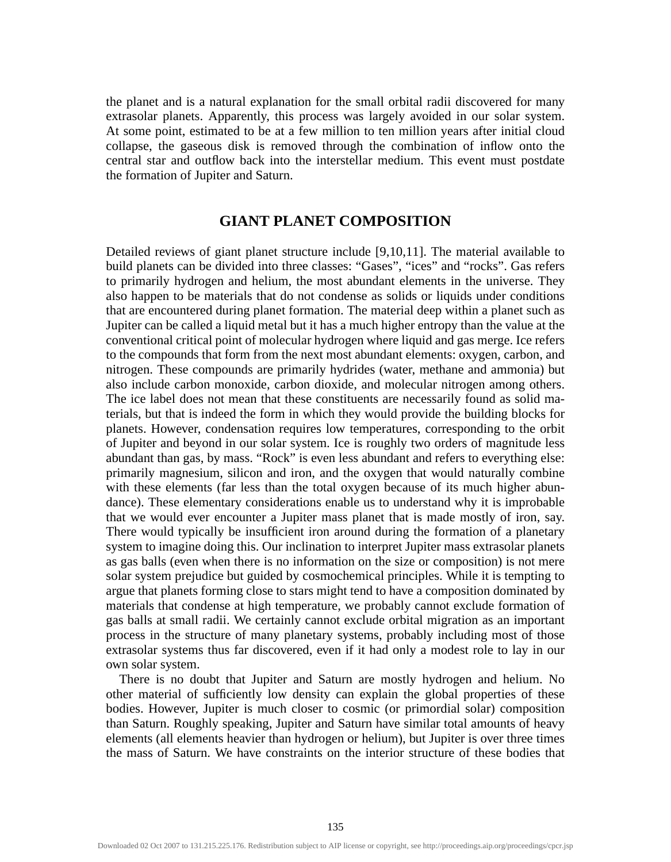the planet and is a natural explanation for the small orbital radii discovered for many extrasolar planets. Apparently, this process was largely avoided in our solar system. At some point, estimated to be at a few million to ten million years after initial cloud collapse, the gaseous disk is removed through the combination of inflow onto the central star and outflow back into the interstellar medium. This event must postdate the formation of Jupiter and Saturn.

## **GIANT PLANET COMPOSITION**

Detailed reviews of giant planet structure include [9,10,11]. The material available to build planets can be divided into three classes: "Gases", "ices" and "rocks". Gas refers to primarily hydrogen and helium, the most abundant elements in the universe. They also happen to be materials that do not condense as solids or liquids under conditions that are encountered during planet formation. The material deep within a planet such as Jupiter can be called a liquid metal but it has a much higher entropy than the value at the conventional critical point of molecular hydrogen where liquid and gas merge. Ice refers to the compounds that form from the next most abundant elements: oxygen, carbon, and nitrogen. These compounds are primarily hydrides (water, methane and ammonia) but also include carbon monoxide, carbon dioxide, and molecular nitrogen among others. The ice label does not mean that these constituents are necessarily found as solid materials, but that is indeed the form in which they would provide the building blocks for planets. However, condensation requires low temperatures, corresponding to the orbit of Jupiter and beyond in our solar system. Ice is roughly two orders of magnitude less abundant than gas, by mass. "Rock" is even less abundant and refers to everything else: primarily magnesium, silicon and iron, and the oxygen that would naturally combine with these elements (far less than the total oxygen because of its much higher abundance). These elementary considerations enable us to understand why it is improbable that we would ever encounter a Jupiter mass planet that is made mostly of iron, say. There would typically be insufficient iron around during the formation of a planetary system to imagine doing this. Our inclination to interpret Jupiter mass extrasolar planets as gas balls (even when there is no information on the size or composition) is not mere solar system prejudice but guided by cosmochemical principles. While it is tempting to argue that planets forming close to stars might tend to have a composition dominated by materials that condense at high temperature, we probably cannot exclude formation of gas balls at small radii. We certainly cannot exclude orbital migration as an important process in the structure of many planetary systems, probably including most of those extrasolar systems thus far discovered, even if it had only a modest role to lay in our own solar system.

There is no doubt that Jupiter and Saturn are mostly hydrogen and helium. No other material of sufficiently low density can explain the global properties of these bodies. However, Jupiter is much closer to cosmic (or primordial solar) composition than Saturn. Roughly speaking, Jupiter and Saturn have similar total amounts of heavy elements (all elements heavier than hydrogen or helium), but Jupiter is over three times the mass of Saturn. We have constraints on the interior structure of these bodies that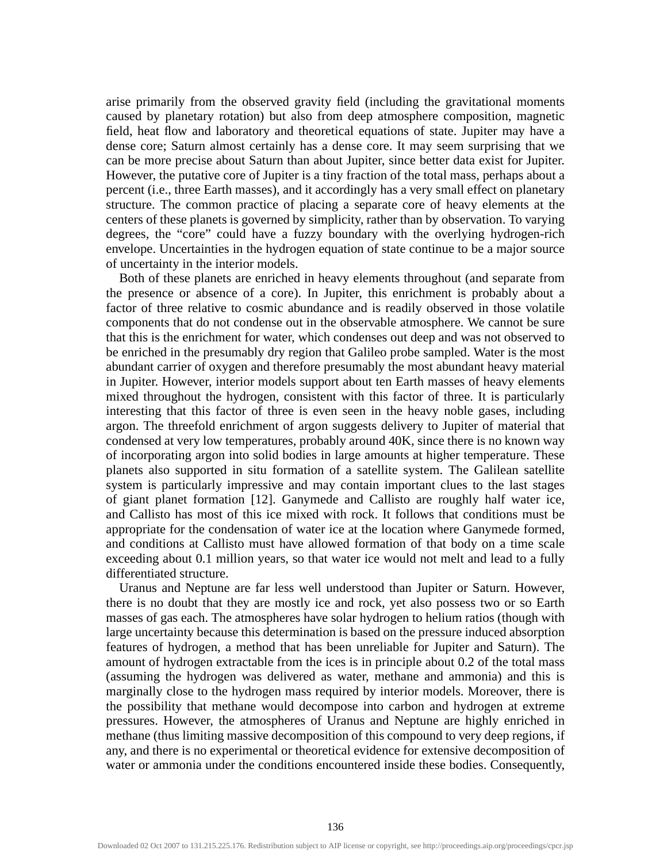arise primarily from the observed gravity field (including the gravitational moments caused by planetary rotation) but also from deep atmosphere composition, magnetic field, heat flow and laboratory and theoretical equations of state. Jupiter may have a dense core; Saturn almost certainly has a dense core. It may seem surprising that we can be more precise about Saturn than about Jupiter, since better data exist for Jupiter. However, the putative core of Jupiter is a tiny fraction of the total mass, perhaps about a percent (i.e., three Earth masses), and it accordingly has a very small effect on planetary structure. The common practice of placing a separate core of heavy elements at the centers of these planets is governed by simplicity, rather than by observation. To varying degrees, the "core" could have a fuzzy boundary with the overlying hydrogen-rich envelope. Uncertainties in the hydrogen equation of state continue to be a major source of uncertainty in the interior models.

Both of these planets are enriched in heavy elements throughout (and separate from the presence or absence of a core). In Jupiter, this enrichment is probably about a factor of three relative to cosmic abundance and is readily observed in those volatile components that do not condense out in the observable atmosphere. We cannot be sure that this is the enrichment for water, which condenses out deep and was not observed to be enriched in the presumably dry region that Galileo probe sampled. Water is the most abundant carrier of oxygen and therefore presumably the most abundant heavy material in Jupiter. However, interior models support about ten Earth masses of heavy elements mixed throughout the hydrogen, consistent with this factor of three. It is particularly interesting that this factor of three is even seen in the heavy noble gases, including argon. The threefold enrichment of argon suggests delivery to Jupiter of material that condensed at very low temperatures, probably around 40K, since there is no known way of incorporating argon into solid bodies in large amounts at higher temperature. These planets also supported in situ formation of a satellite system. The Galilean satellite system is particularly impressive and may contain important clues to the last stages of giant planet formation [12]. Ganymede and Callisto are roughly half water ice, and Callisto has most of this ice mixed with rock. It follows that conditions must be appropriate for the condensation of water ice at the location where Ganymede formed, and conditions at Callisto must have allowed formation of that body on a time scale exceeding about 0.1 million years, so that water ice would not melt and lead to a fully differentiated structure.

Uranus and Neptune are far less well understood than Jupiter or Saturn. However, there is no doubt that they are mostly ice and rock, yet also possess two or so Earth masses of gas each. The atmospheres have solar hydrogen to helium ratios (though with large uncertainty because this determination is based on the pressure induced absorption features of hydrogen, a method that has been unreliable for Jupiter and Saturn). The amount of hydrogen extractable from the ices is in principle about 0.2 of the total mass (assuming the hydrogen was delivered as water, methane and ammonia) and this is marginally close to the hydrogen mass required by interior models. Moreover, there is the possibility that methane would decompose into carbon and hydrogen at extreme pressures. However, the atmospheres of Uranus and Neptune are highly enriched in methane (thus limiting massive decomposition of this compound to very deep regions, if any, and there is no experimental or theoretical evidence for extensive decomposition of water or ammonia under the conditions encountered inside these bodies. Consequently,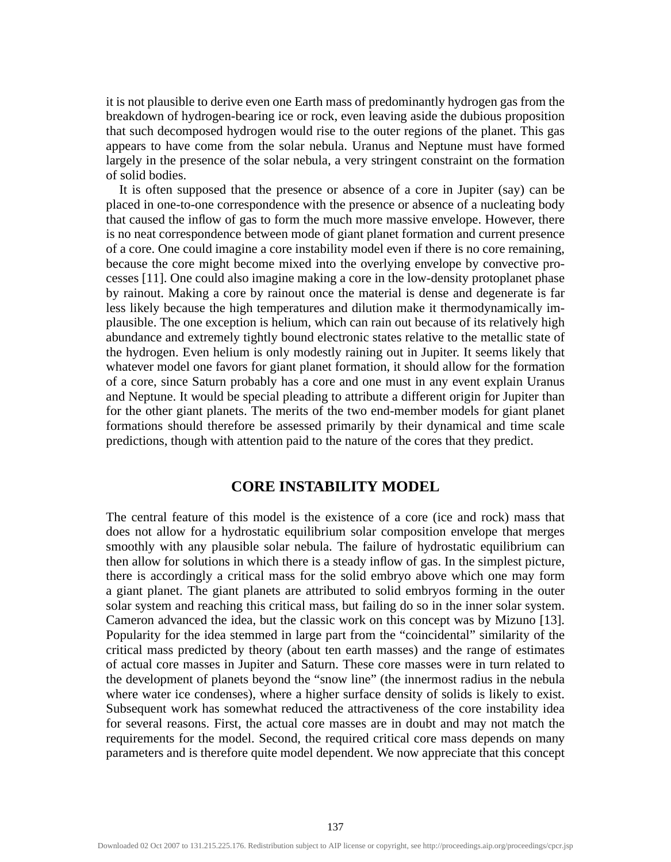it is not plausible to derive even one Earth mass of predominantly hydrogen gas from the breakdown of hydrogen-bearing ice or rock, even leaving aside the dubious proposition that such decomposed hydrogen would rise to the outer regions of the planet. This gas appears to have come from the solar nebula. Uranus and Neptune must have formed largely in the presence of the solar nebula, a very stringent constraint on the formation of solid bodies.

It is often supposed that the presence or absence of a core in Jupiter (say) can be placed in one-to-one correspondence with the presence or absence of a nucleating body that caused the inflow of gas to form the much more massive envelope. However, there is no neat correspondence between mode of giant planet formation and current presence of a core. One could imagine a core instability model even if there is no core remaining, because the core might become mixed into the overlying envelope by convective processes [11]. One could also imagine making a core in the low-density protoplanet phase by rainout. Making a core by rainout once the material is dense and degenerate is far less likely because the high temperatures and dilution make it thermodynamically implausible. The one exception is helium, which can rain out because of its relatively high abundance and extremely tightly bound electronic states relative to the metallic state of the hydrogen. Even helium is only modestly raining out in Jupiter. It seems likely that whatever model one favors for giant planet formation, it should allow for the formation of a core, since Saturn probably has a core and one must in any event explain Uranus and Neptune. It would be special pleading to attribute a different origin for Jupiter than for the other giant planets. The merits of the two end-member models for giant planet formations should therefore be assessed primarily by their dynamical and time scale predictions, though with attention paid to the nature of the cores that they predict.

## **CORE INSTABILITY MODEL**

The central feature of this model is the existence of a core (ice and rock) mass that does not allow for a hydrostatic equilibrium solar composition envelope that merges smoothly with any plausible solar nebula. The failure of hydrostatic equilibrium can then allow for solutions in which there is a steady inflow of gas. In the simplest picture, there is accordingly a critical mass for the solid embryo above which one may form a giant planet. The giant planets are attributed to solid embryos forming in the outer solar system and reaching this critical mass, but failing do so in the inner solar system. Cameron advanced the idea, but the classic work on this concept was by Mizuno [13]. Popularity for the idea stemmed in large part from the "coincidental" similarity of the critical mass predicted by theory (about ten earth masses) and the range of estimates of actual core masses in Jupiter and Saturn. These core masses were in turn related to the development of planets beyond the "snow line" (the innermost radius in the nebula where water ice condenses), where a higher surface density of solids is likely to exist. Subsequent work has somewhat reduced the attractiveness of the core instability idea for several reasons. First, the actual core masses are in doubt and may not match the requirements for the model. Second, the required critical core mass depends on many parameters and is therefore quite model dependent. We now appreciate that this concept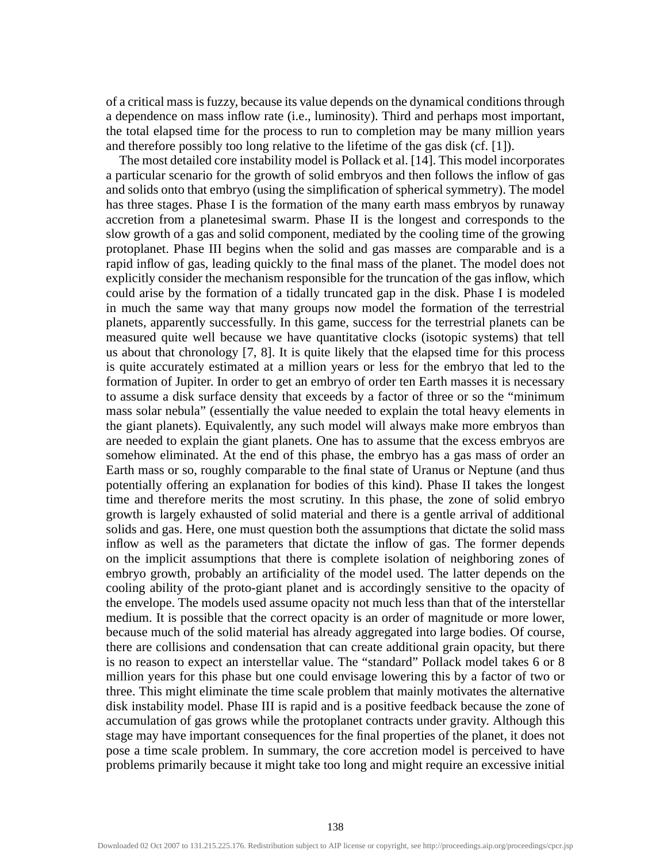of a critical mass is fuzzy, because its value depends on the dynamical conditions through a dependence on mass inflow rate (i.e., luminosity). Third and perhaps most important, the total elapsed time for the process to run to completion may be many million years and therefore possibly too long relative to the lifetime of the gas disk (cf. [1]).

The most detailed core instability model is Pollack et al. [14]. This model incorporates a particular scenario for the growth of solid embryos and then follows the inflow of gas and solids onto that embryo (using the simplification of spherical symmetry). The model has three stages. Phase I is the formation of the many earth mass embryos by runaway accretion from a planetesimal swarm. Phase II is the longest and corresponds to the slow growth of a gas and solid component, mediated by the cooling time of the growing protoplanet. Phase III begins when the solid and gas masses are comparable and is a rapid inflow of gas, leading quickly to the final mass of the planet. The model does not explicitly consider the mechanism responsible for the truncation of the gas inflow, which could arise by the formation of a tidally truncated gap in the disk. Phase I is modeled in much the same way that many groups now model the formation of the terrestrial planets, apparently successfully. In this game, success for the terrestrial planets can be measured quite well because we have quantitative clocks (isotopic systems) that tell us about that chronology [7, 8]. It is quite likely that the elapsed time for this process is quite accurately estimated at a million years or less for the embryo that led to the formation of Jupiter. In order to get an embryo of order ten Earth masses it is necessary to assume a disk surface density that exceeds by a factor of three or so the "minimum mass solar nebula" (essentially the value needed to explain the total heavy elements in the giant planets). Equivalently, any such model will always make more embryos than are needed to explain the giant planets. One has to assume that the excess embryos are somehow eliminated. At the end of this phase, the embryo has a gas mass of order an Earth mass or so, roughly comparable to the final state of Uranus or Neptune (and thus potentially offering an explanation for bodies of this kind). Phase II takes the longest time and therefore merits the most scrutiny. In this phase, the zone of solid embryo growth is largely exhausted of solid material and there is a gentle arrival of additional solids and gas. Here, one must question both the assumptions that dictate the solid mass inflow as well as the parameters that dictate the inflow of gas. The former depends on the implicit assumptions that there is complete isolation of neighboring zones of embryo growth, probably an artificiality of the model used. The latter depends on the cooling ability of the proto-giant planet and is accordingly sensitive to the opacity of the envelope. The models used assume opacity not much less than that of the interstellar medium. It is possible that the correct opacity is an order of magnitude or more lower, because much of the solid material has already aggregated into large bodies. Of course, there are collisions and condensation that can create additional grain opacity, but there is no reason to expect an interstellar value. The "standard" Pollack model takes 6 or 8 million years for this phase but one could envisage lowering this by a factor of two or three. This might eliminate the time scale problem that mainly motivates the alternative disk instability model. Phase III is rapid and is a positive feedback because the zone of accumulation of gas grows while the protoplanet contracts under gravity. Although this stage may have important consequences for the final properties of the planet, it does not pose a time scale problem. In summary, the core accretion model is perceived to have problems primarily because it might take too long and might require an excessive initial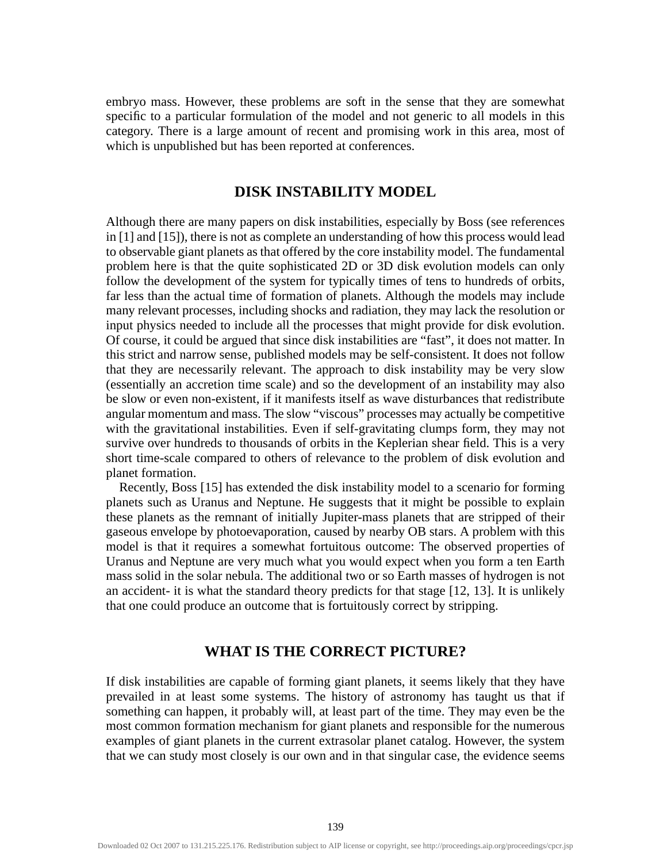embryo mass. However, these problems are soft in the sense that they are somewhat specific to a particular formulation of the model and not generic to all models in this category. There is a large amount of recent and promising work in this area, most of which is unpublished but has been reported at conferences.

#### **DISK INSTABILITY MODEL**

Although there are many papers on disk instabilities, especially by Boss (see references in [1] and [15]), there is not as complete an understanding of how this process would lead to observable giant planets as that offered by the core instability model. The fundamental problem here is that the quite sophisticated 2D or 3D disk evolution models can only follow the development of the system for typically times of tens to hundreds of orbits, far less than the actual time of formation of planets. Although the models may include many relevant processes, including shocks and radiation, they may lack the resolution or input physics needed to include all the processes that might provide for disk evolution. Of course, it could be argued that since disk instabilities are "fast", it does not matter. In this strict and narrow sense, published models may be self-consistent. It does not follow that they are necessarily relevant. The approach to disk instability may be very slow (essentially an accretion time scale) and so the development of an instability may also be slow or even non-existent, if it manifests itself as wave disturbances that redistribute angular momentum and mass. The slow "viscous" processes may actually be competitive with the gravitational instabilities. Even if self-gravitating clumps form, they may not survive over hundreds to thousands of orbits in the Keplerian shear field. This is a very short time-scale compared to others of relevance to the problem of disk evolution and planet formation.

Recently, Boss [15] has extended the disk instability model to a scenario for forming planets such as Uranus and Neptune. He suggests that it might be possible to explain these planets as the remnant of initially Jupiter-mass planets that are stripped of their gaseous envelope by photoevaporation, caused by nearby OB stars. A problem with this model is that it requires a somewhat fortuitous outcome: The observed properties of Uranus and Neptune are very much what you would expect when you form a ten Earth mass solid in the solar nebula. The additional two or so Earth masses of hydrogen is not an accident- it is what the standard theory predicts for that stage [12, 13]. It is unlikely that one could produce an outcome that is fortuitously correct by stripping.

# **WHAT IS THE CORRECT PICTURE?**

If disk instabilities are capable of forming giant planets, it seems likely that they have prevailed in at least some systems. The history of astronomy has taught us that if something can happen, it probably will, at least part of the time. They may even be the most common formation mechanism for giant planets and responsible for the numerous examples of giant planets in the current extrasolar planet catalog. However, the system that we can study most closely is our own and in that singular case, the evidence seems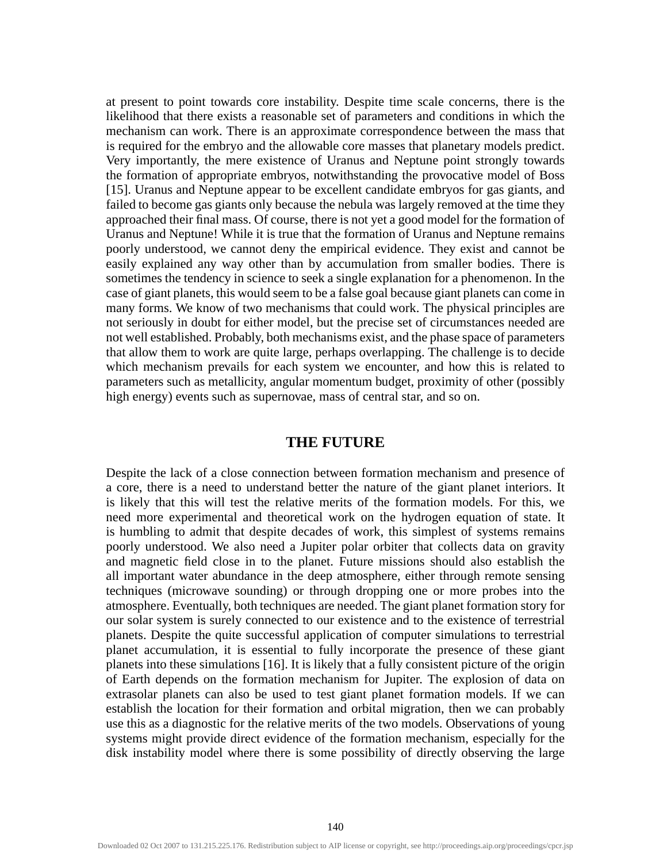at present to point towards core instability. Despite time scale concerns, there is the likelihood that there exists a reasonable set of parameters and conditions in which the mechanism can work. There is an approximate correspondence between the mass that is required for the embryo and the allowable core masses that planetary models predict. Very importantly, the mere existence of Uranus and Neptune point strongly towards the formation of appropriate embryos, notwithstanding the provocative model of Boss [15]. Uranus and Neptune appear to be excellent candidate embryos for gas giants, and failed to become gas giants only because the nebula was largely removed at the time they approached their final mass. Of course, there is not yet a good model for the formation of Uranus and Neptune! While it is true that the formation of Uranus and Neptune remains poorly understood, we cannot deny the empirical evidence. They exist and cannot be easily explained any way other than by accumulation from smaller bodies. There is sometimes the tendency in science to seek a single explanation for a phenomenon. In the case of giant planets, this would seem to be a false goal because giant planets can come in many forms. We know of two mechanisms that could work. The physical principles are not seriously in doubt for either model, but the precise set of circumstances needed are not well established. Probably, both mechanisms exist, and the phase space of parameters that allow them to work are quite large, perhaps overlapping. The challenge is to decide which mechanism prevails for each system we encounter, and how this is related to parameters such as metallicity, angular momentum budget, proximity of other (possibly high energy) events such as supernovae, mass of central star, and so on.

#### **THE FUTURE**

Despite the lack of a close connection between formation mechanism and presence of a core, there is a need to understand better the nature of the giant planet interiors. It is likely that this will test the relative merits of the formation models. For this, we need more experimental and theoretical work on the hydrogen equation of state. It is humbling to admit that despite decades of work, this simplest of systems remains poorly understood. We also need a Jupiter polar orbiter that collects data on gravity and magnetic field close in to the planet. Future missions should also establish the all important water abundance in the deep atmosphere, either through remote sensing techniques (microwave sounding) or through dropping one or more probes into the atmosphere. Eventually, both techniques are needed. The giant planet formation story for our solar system is surely connected to our existence and to the existence of terrestrial planets. Despite the quite successful application of computer simulations to terrestrial planet accumulation, it is essential to fully incorporate the presence of these giant planets into these simulations [16]. It is likely that a fully consistent picture of the origin of Earth depends on the formation mechanism for Jupiter. The explosion of data on extrasolar planets can also be used to test giant planet formation models. If we can establish the location for their formation and orbital migration, then we can probably use this as a diagnostic for the relative merits of the two models. Observations of young systems might provide direct evidence of the formation mechanism, especially for the disk instability model where there is some possibility of directly observing the large